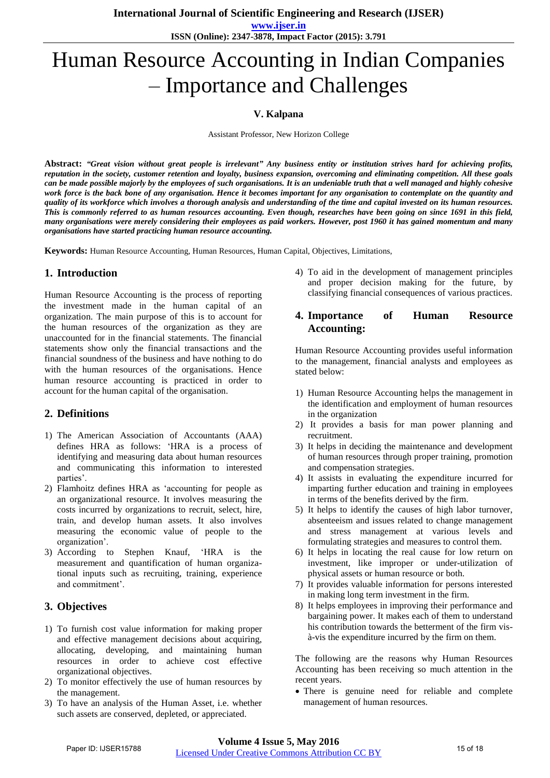**www.ijser.in ISSN (Online): 2347-3878, Impact Factor (2015): 3.791**

# Human Resource Accounting in Indian Companies – Importance and Challenges

## **V. Kalpana**

Assistant Professor, New Horizon College

Abstract: "Great vision without great people is irrelevant" Any business entity or institution strives hard for achieving profits, reputation in the society, customer retention and loyalty, business expansion, overcoming and eliminating competition. All these goals can be made possible majorly by the employees of such organisations. It is an undeniable truth that a well managed and highly cohesive work force is the back bone of any organisation. Hence it becomes important for any organisation to contemplate on the quantity and quality of its workforce which involves a thorough analysis and understanding of the time and capital invested on its human resources. This is commonly referred to as human resources accounting. Even though, researches have been going on since 1691 in this field, many organisations were merely considering their employees as paid workers. However, post 1960 it has gained momentum and many *organisations have started practicing human resource accounting.*

**Keywords:** Human Resource Accounting, Human Resources, Human Capital, Objectives, Limitations,

## **1. Introduction**

Human Resource Accounting is the process of reporting the investment made in the human capital of an organization. The main purpose of this is to account for the human resources of the organization as they are unaccounted for in the financial statements. The financial statements show only the financial transactions and the financial soundness of the business and have nothing to do with the human resources of the organisations. Hence human resource accounting is practiced in order to account for the human capital of the organisation.

# **2. Definitions**

- 1) The American Association of Accountants (AAA) defines HRA as follows: "HRA is a process of identifying and measuring data about human resources and communicating this information to interested parties'.
- 2) Flamhoitz defines HRA as "accounting for people as an organizational resource. It involves measuring the costs incurred by organizations to recruit, select, hire, train, and develop human assets. It also involves measuring the economic value of people to the organization".
- 3) According to Stephen Knauf, "HRA is the measurement and quantification of human organizational inputs such as recruiting, training, experience and commitment'.

# **3. Objectives**

- 1) To furnish cost value information for making proper and effective management decisions about acquiring, allocating, developing, and maintaining human resources in order to achieve cost effective organizational objectives.
- 2) To monitor effectively the use of human resources by the management.
- 3) To have an analysis of the Human Asset, i.e. whether such assets are conserved, depleted, or appreciated.

4) To aid in the development of management principles and proper decision making for the future, by classifying financial consequences of various practices.

## **4. Importance of Human Resource Accounting:**

Human Resource Accounting provides useful information to the management, financial analysts and employees as stated below:

- 1) Human Resource Accounting helps the management in the identification and employment of human resources in the organization
- 2) It provides a basis for man power planning and recruitment.
- 3) It helps in deciding the maintenance and development of human resources through proper training, promotion and compensation strategies.
- 4) It assists in evaluating the expenditure incurred for imparting further education and training in employees in terms of the benefits derived by the firm.
- 5) It helps to identify the causes of high labor turnover, absenteeism and issues related to change management and stress management at various levels and formulating strategies and measures to control them.
- 6) It helps in locating the real cause for low return on investment, like improper or under-utilization of physical assets or human resource or both.
- 7) It provides valuable information for persons interested in making long term investment in the firm.
- 8) It helps employees in improving their performance and bargaining power. It makes each of them to understand his contribution towards the betterment of the firm visà-vis the expenditure incurred by the firm on them.

The following are the reasons why Human Resources Accounting has been receiving so much attention in the recent years.

 There is genuine need for reliable and complete management of human resources.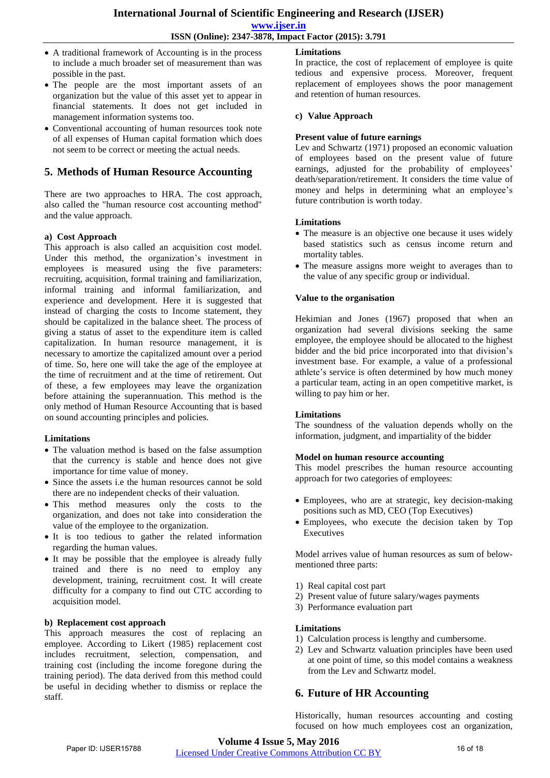- A traditional framework of Accounting is in the process to include a much broader set of measurement than was possible in the past.
- The people are the most important assets of an organization but the value of this asset yet to appear in financial statements. It does not get included in management information systems too.
- Conventional accounting of human resources took note of all expenses of Human capital formation which does not seem to be correct or meeting the actual needs.

# **5. Methods of Human Resource Accounting**

There are two approaches to HRA. The cost approach, also called the "human resource cost accounting method" and the value approach.

#### **a) Cost Approach**

This approach is also called an acquisition cost model. Under this method, the organization's investment in employees is measured using the five parameters: recruiting, acquisition, formal training and familiarization, informal training and informal familiarization, and experience and development. Here it is suggested that instead of charging the costs to Income statement, they should be capitalized in the balance sheet. The process of giving a status of asset to the expenditure item is called capitalization. In human resource management, it is necessary to amortize the capitalized amount over a period of time. So, here one will take the age of the employee at the time of recruitment and at the time of retirement. Out of these, a few employees may leave the organization before attaining the superannuation. This method is the only method of Human Resource Accounting that is based on sound accounting principles and policies.

#### **Limitations**

- The valuation method is based on the false assumption that the currency is stable and hence does not give importance for time value of money.
- Since the assets i.e the human resources cannot be sold there are no independent checks of their valuation.
- This method measures only the costs to the organization, and does not take into consideration the value of the employee to the organization.
- It is too tedious to gather the related information regarding the human values.
- It may be possible that the employee is already fully trained and there is no need to employ any development, training, recruitment cost. It will create difficulty for a company to find out CTC according to acquisition model.

#### **b) Replacement cost approach**

This approach measures the cost of replacing an employee. According to Likert (1985) replacement cost includes recruitment, selection, compensation, and training cost (including the income foregone during the training period). The data derived from this method could be useful in deciding whether to dismiss or replace the staff.

## **Limitations**

In practice, the cost of replacement of employee is quite tedious and expensive process. Moreover, frequent replacement of employees shows the poor management and retention of human resources.

#### **c) Value Approach**

#### **Present value of future earnings**

Lev and Schwartz (1971) proposed an economic valuation of employees based on the present value of future earnings, adjusted for the probability of employees' death/separation/retirement. It considers the time value of money and helps in determining what an employee's future contribution is worth today.

#### **Limitations**

- The measure is an objective one because it uses widely based statistics such as census income return and mortality tables.
- The measure assigns more weight to averages than to the value of any specific group or individual.

#### **Value to the organisation**

Hekimian and Jones (1967) proposed that when an organization had several divisions seeking the same employee, the employee should be allocated to the highest bidder and the bid price incorporated into that division's investment base. For example, a value of a professional athlete's service is often determined by how much money a particular team, acting in an open competitive market, is willing to pay him or her.

#### **Limitations**

The soundness of the valuation depends wholly on the information, judgment, and impartiality of the bidder

#### **Model on human resource accounting**

This model prescribes the human resource accounting approach for two categories of employees:

- Employees, who are at strategic, key decision-making positions such as MD, CEO (Top Executives)
- Employees, who execute the decision taken by Top **Executives**

Model arrives value of human resources as sum of belowmentioned three parts:

- 1) Real capital cost part
- 2) Present value of future salary/wages payments
- 3) Performance evaluation part

#### **Limitations**

- 1) Calculation process is lengthy and cumbersome.
- 2) Lev and Schwartz valuation principles have been used at one point of time, so this model contains a weakness from the Lev and Schwartz model.

# **6. Future of HR Accounting**

Historically, human resources accounting and costing focused on how much employees cost an organization,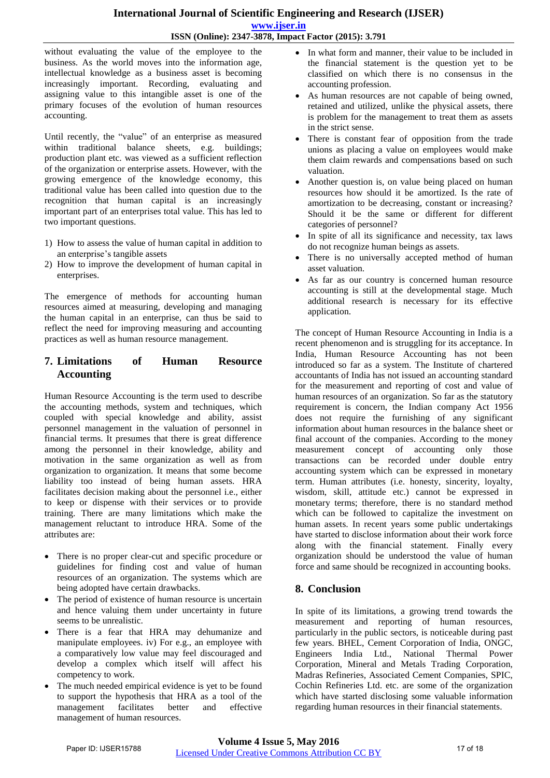# **International Journal of Scientific Engineering and Research (IJSER) www.ijser.in**

## **ISSN (Online): 2347-3878, Impact Factor (2015): 3.791**

without evaluating the value of the employee to the business. As the world moves into the information age, intellectual knowledge as a business asset is becoming increasingly important. Recording, evaluating and assigning value to this intangible asset is one of the primary focuses of the evolution of human resources accounting.

Until recently, the "value" of an enterprise as measured within traditional balance sheets, e.g. buildings; production plant etc. was viewed as a sufficient reflection of the organization or enterprise assets. However, with the growing emergence of the knowledge economy, this traditional value has been called into question due to the recognition that human capital is an increasingly important part of an enterprises total value. This has led to two important questions.

- 1) How to assess the value of human capital in addition to an enterprise's tangible assets
- 2) How to improve the development of human capital in enterprises.

The emergence of methods for accounting human resources aimed at measuring, developing and managing the human capital in an enterprise, can thus be said to reflect the need for improving measuring and accounting practices as well as human resource management.

## **7. Limitations of Human Resource Accounting**

Human Resource Accounting is the term used to describe the accounting methods, system and techniques, which coupled with special knowledge and ability, assist personnel management in the valuation of personnel in financial terms. It presumes that there is great difference among the personnel in their knowledge, ability and motivation in the same organization as well as from organization to organization. It means that some become liability too instead of being human assets. HRA facilitates decision making about the personnel i.e., either to keep or dispense with their services or to provide training. There are many limitations which make the management reluctant to introduce HRA. Some of the attributes are:

- There is no proper clear-cut and specific procedure or guidelines for finding cost and value of human resources of an organization. The systems which are being adopted have certain drawbacks.
- The period of existence of human resource is uncertain and hence valuing them under uncertainty in future seems to be unrealistic.
- There is a fear that HRA may dehumanize and manipulate employees. iv) For e.g., an employee with a comparatively low value may feel discouraged and develop a complex which itself will affect his competency to work.
- The much needed empirical evidence is yet to be found to support the hypothesis that HRA as a tool of the<br>management facilitates better and effective management facilitates better and effective management of human resources.
- In what form and manner, their value to be included in the financial statement is the question yet to be classified on which there is no consensus in the accounting profession.
- As human resources are not capable of being owned, retained and utilized, unlike the physical assets, there is problem for the management to treat them as assets in the strict sense.
- There is constant fear of opposition from the trade unions as placing a value on employees would make them claim rewards and compensations based on such valuation.
- Another question is, on value being placed on human resources how should it be amortized. Is the rate of amortization to be decreasing, constant or increasing? Should it be the same or different for different categories of personnel?
- In spite of all its significance and necessity, tax laws do not recognize human beings as assets.
- There is no universally accepted method of human asset valuation.
- As far as our country is concerned human resource accounting is still at the developmental stage. Much additional research is necessary for its effective application.

The concept of Human Resource Accounting in India is a recent phenomenon and is struggling for its acceptance. In India, Human Resource Accounting has not been introduced so far as a system. The Institute of chartered accountants of India has not issued an accounting standard for the measurement and reporting of cost and value of human resources of an organization. So far as the statutory requirement is concern, the Indian company Act 1956 does not require the furnishing of any significant information about human resources in the balance sheet or final account of the companies. According to the money measurement concept of accounting only those transactions can be recorded under double entry accounting system which can be expressed in monetary term. Human attributes (i.e. honesty, sincerity, loyalty, wisdom, skill, attitude etc.) cannot be expressed in monetary terms; therefore, there is no standard method which can be followed to capitalize the investment on human assets. In recent years some public undertakings have started to disclose information about their work force along with the financial statement. Finally every organization should be understood the value of human force and same should be recognized in accounting books.

# **8. Conclusion**

In spite of its limitations, a growing trend towards the measurement and reporting of human resources, particularly in the public sectors, is noticeable during past few years. BHEL, Cement Corporation of India, ONGC, Engineers India Ltd., National Thermal Power Corporation, Mineral and Metals Trading Corporation, Madras Refineries, Associated Cement Companies, SPIC, Cochin Refineries Ltd. etc. are some of the organization which have started disclosing some valuable information regarding human resources in their financial statements.